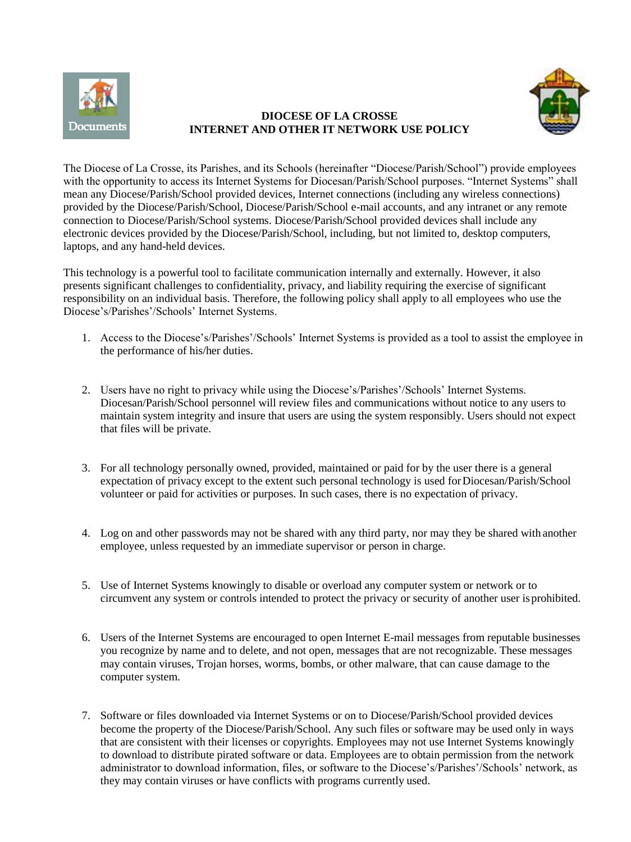

## **DIOCESE OF LA CROSSE INTERNET AND OTHER IT NETWORK USE POLICY**



The Diocese of La Crosse, its Parishes, and its Schools (hereinafter "Diocese/Parish/School") provide employees with the opportunity to access its Internet Systems for Diocesan/Parish/School purposes. "Internet Systems" shall mean any Diocese/Parish/School provided devices, Internet connections (including any wireless connections) provided by the Diocese/Parish/School, Diocese/Parish/School e-mail accounts, and any intranet or any remote connection to Diocese/Parish/School systems. Diocese/Parish/School provided devices shall include any electronic devices provided by the Diocese/Parish/School, including, but not limited to, desktop computers, laptops, and any hand-held devices.

This technology is a powerful tool to facilitate communication internally and externally. However, it also presents significant challenges to confidentiality, privacy, and liability requiring the exercise of significant responsibility on an individual basis. Therefore, the following policy shall apply to all employees who use the Diocese's/Parishes'/Schools' Internet Systems.

- 1. Access to the Diocese's/Parishes'/Schools' Internet Systems is provided as a tool to assist the employee in the performance of his/her duties.
- 2. Users have no right to privacy while using the Diocese's/Parishes'/Schools' Internet Systems. Diocesan/Parish/School personnel will review files and communications without notice to any users to maintain system integrity and insure that users are using the system responsibly. Users should not expect that files will be private.
- 3. For all technology personally owned, provided, maintained or paid for by the user there is a general expectation of privacy except to the extent such personal technology is used forDiocesan/Parish/School volunteer or paid for activities or purposes. In such cases, there is no expectation of privacy.
- 4. Log on and other passwords may not be shared with any third party, nor may they be shared with another employee, unless requested by an immediate supervisor or person in charge.
- 5. Use of Internet Systems knowingly to disable or overload any computer system or network or to circumvent any system or controls intended to protect the privacy or security of another user isprohibited.
- 6. Users of the Internet Systems are encouraged to open Internet E-mail messages from reputable businesses you recognize by name and to delete, and not open, messages that are not recognizable. These messages may contain viruses, Trojan horses, worms, bombs, or other malware, that can cause damage to the computer system.
- 7. Software or files downloaded via Internet Systems or on to Diocese/Parish/School provided devices become the property of the Diocese/Parish/School. Any such files or software may be used only in ways that are consistent with their licenses or copyrights. Employees may not use Internet Systems knowingly to download to distribute pirated software or data. Employees are to obtain permission from the network administrator to download information, files, or software to the Diocese's/Parishes'/Schools' network, as they may contain viruses or have conflicts with programs currently used.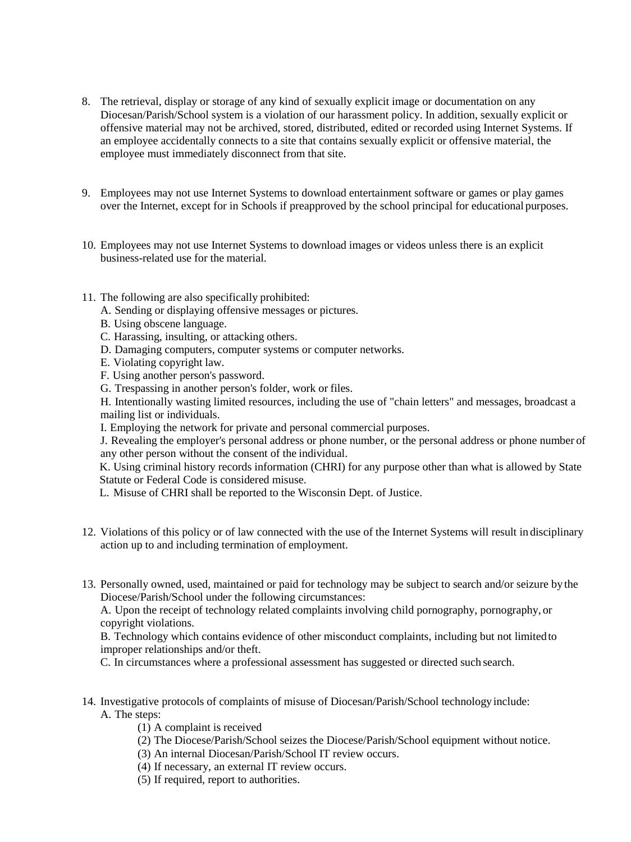- 8. The retrieval, display or storage of any kind of sexually explicit image or documentation on any Diocesan/Parish/School system is a violation of our harassment policy. In addition, sexually explicit or offensive material may not be archived, stored, distributed, edited or recorded using Internet Systems. If an employee accidentally connects to a site that contains sexually explicit or offensive material, the employee must immediately disconnect from that site.
- 9. Employees may not use Internet Systems to download entertainment software or games or play games over the Internet, except for in Schools if preapproved by the school principal for educational purposes.
- 10. Employees may not use Internet Systems to download images or videos unless there is an explicit business-related use for the material.
- 11. The following are also specifically prohibited:
	- A. Sending or displaying offensive messages or pictures.
	- B. Using obscene language.
	- C. Harassing, insulting, or attacking others.
	- D. Damaging computers, computer systems or computer networks.
	- E. Violating copyright law.
	- F. Using another person's password.
	- G. Trespassing in another person's folder, work or files.

H. Intentionally wasting limited resources, including the use of "chain letters" and messages, broadcast a mailing list or individuals.

I. Employing the network for private and personal commercial purposes.

J. Revealing the employer's personal address or phone number, or the personal address or phone number of any other person without the consent of the individual.

K. Using criminal history records information (CHRI) for any purpose other than what is allowed by State Statute or Federal Code is considered misuse.

- L. Misuse of CHRI shall be reported to the Wisconsin Dept. of Justice.
- 12. Violations of this policy or of law connected with the use of the Internet Systems will result in disciplinary action up to and including termination of employment.
- 13. Personally owned, used, maintained or paid for technology may be subject to search and/or seizure by the Diocese/Parish/School under the following circumstances:

A. Upon the receipt of technology related complaints involving child pornography, pornography, or copyright violations.

B. Technology which contains evidence of other misconduct complaints, including but not limitedto improper relationships and/or theft.

C. In circumstances where a professional assessment has suggested or directed such search.

- 14. Investigative protocols of complaints of misuse of Diocesan/Parish/School technology include: A. The steps:
	- (1) A complaint is received
	- (2) The Diocese/Parish/School seizes the Diocese/Parish/School equipment without notice.
	- (3) An internal Diocesan/Parish/School IT review occurs.
	- (4) If necessary, an external IT review occurs.
	- (5) If required, report to authorities.